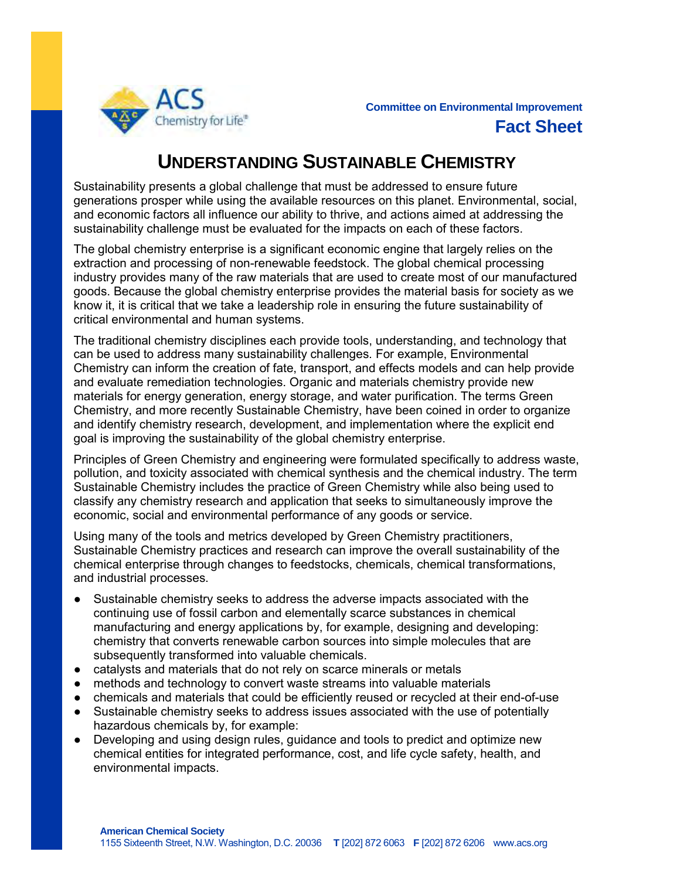

## **UNDERSTANDING SUSTAINABLE CHEMISTRY**

Sustainability presents a global challenge that must be addressed to ensure future generations prosper while using the available resources on this planet. Environmental, social, and economic factors all influence our ability to thrive, and actions aimed at addressing the sustainability challenge must be evaluated for the impacts on each of these factors.

The global chemistry enterprise is a significant economic engine that largely relies on the extraction and processing of non-renewable feedstock. The global chemical processing industry provides many of the raw materials that are used to create most of our manufactured goods. Because the global chemistry enterprise provides the material basis for society as we know it, it is critical that we take a leadership role in ensuring the future sustainability of critical environmental and human systems.

The traditional chemistry disciplines each provide tools, understanding, and technology that can be used to address many sustainability challenges. For example, Environmental Chemistry can inform the creation of fate, transport, and effects models and can help provide and evaluate remediation technologies. Organic and materials chemistry provide new materials for energy generation, energy storage, and water purification. The terms Green Chemistry, and more recently Sustainable Chemistry, have been coined in order to organize and identify chemistry research, development, and implementation where the explicit end goal is improving the sustainability of the global chemistry enterprise.

Principles of Green Chemistry and engineering were formulated specifically to address waste, pollution, and toxicity associated with chemical synthesis and the chemical industry. The term Sustainable Chemistry includes the practice of Green Chemistry while also being used to classify any chemistry research and application that seeks to simultaneously improve the economic, social and environmental performance of any goods or service.

Using many of the tools and metrics developed by Green Chemistry practitioners, Sustainable Chemistry practices and research can improve the overall sustainability of the chemical enterprise through changes to feedstocks, chemicals, chemical transformations, and industrial processes.

- Sustainable chemistry seeks to address the adverse impacts associated with the continuing use of fossil carbon and elementally scarce substances in chemical manufacturing and energy applications by, for example, designing and developing: chemistry that converts renewable carbon sources into simple molecules that are subsequently transformed into valuable chemicals.
- catalysts and materials that do not rely on scarce minerals or metals
- methods and technology to convert waste streams into valuable materials
- chemicals and materials that could be efficiently reused or recycled at their end-of-use
- Sustainable chemistry seeks to address issues associated with the use of potentially hazardous chemicals by, for example:
- Developing and using design rules, guidance and tools to predict and optimize new chemical entities for integrated performance, cost, and life cycle safety, health, and environmental impacts.